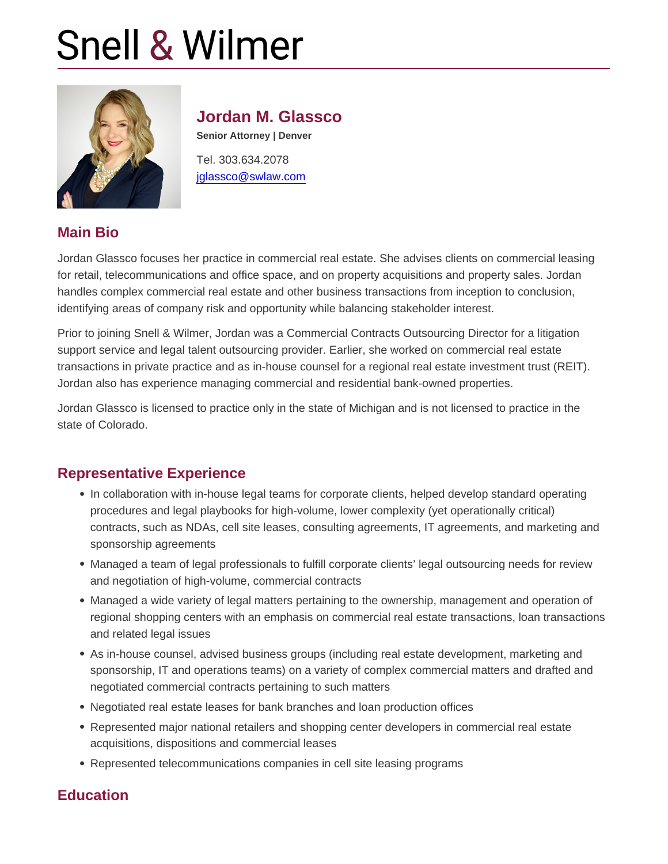# Jordan M. Glassco

Senior Attorney | Denver

Tel. 303.634.2078 [jglassco@swlaw.com](mailto:jglassco@swlaw.com)

## Main Bio

Jordan Glassco focuses her practice in commercial real estate. She advises clients on commercial leasing for retail, telecommunications and office space, and on property acquisitions and property sales. Jordan handles complex commercial real estate and other business transactions from inception to conclusion, identifying areas of company risk and opportunity while balancing stakeholder interest.

Prior to joining Snell & Wilmer, Jordan was a Commercial Contracts Outsourcing Director for a litigation support service and legal talent outsourcing provider. Earlier, she worked on commercial real estate transactions in private practice and as in-house counsel for a regional real estate investment trust (REIT). Jordan also has experience managing commercial and residential bank-owned properties.

Jordan Glassco is licensed to practice only in the state of Michigan and is not licensed to practice in the state of Colorado.

## Representative Experience

- In collaboration with in-house legal teams for corporate clients, helped develop standard operating procedures and legal playbooks for high-volume, lower complexity (yet operationally critical) contracts, such as NDAs, cell site leases, consulting agreements, IT agreements, and marketing and sponsorship agreements
- Managed a team of legal professionals to fulfill corporate clients' legal outsourcing needs for review and negotiation of high-volume, commercial contracts
- Managed a wide variety of legal matters pertaining to the ownership, management and operation of regional shopping centers with an emphasis on commercial real estate transactions, loan transactions and related legal issues
- As in-house counsel, advised business groups (including real estate development, marketing and sponsorship, IT and operations teams) on a variety of complex commercial matters and drafted and negotiated commercial contracts pertaining to such matters
- Negotiated real estate leases for bank branches and loan production offices
- Represented major national retailers and shopping center developers in commercial real estate acquisitions, dispositions and commercial leases
- Represented telecommunications companies in cell site leasing programs

## **Education**